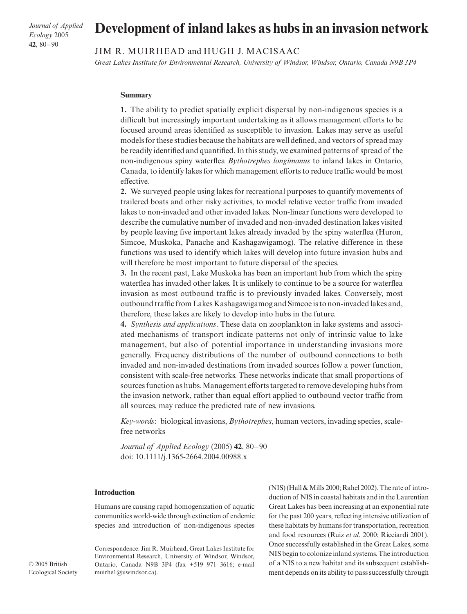*Journal of Applied Ecology* 2005 **42**, 80–90

# **Development of inland lakes as hubs in an invasion network**

## JIM R. MUIRHEAD and HUGH J. MACISAAC

*Great Lakes Institute for Environmental Research, University of Windsor, Windsor, Ontario, Canada N9B 3P4*

#### **Summary**

**1.** The ability to predict spatially explicit dispersal by non-indigenous species is a difficult but increasingly important undertaking as it allows management efforts to be focused around areas identified as susceptible to invasion. Lakes may serve as useful models for these studies because the habitats are well defined, and vectors of spread may be readily identified and quantified. In this study, we examined patterns of spread of the non-indigenous spiny waterflea *Bythotrephes longimanus* to inland lakes in Ontario, Canada, to identify lakes for which management efforts to reduce traffic would be most effective.

**2.** We surveyed people using lakes for recreational purposes to quantify movements of trailered boats and other risky activities, to model relative vector traffic from invaded lakes to non-invaded and other invaded lakes. Non-linear functions were developed to describe the cumulative number of invaded and non-invaded destination lakes visited by people leaving five important lakes already invaded by the spiny waterflea (Huron, Simcoe, Muskoka, Panache and Kashagawigamog). The relative difference in these functions was used to identify which lakes will develop into future invasion hubs and will therefore be most important to future dispersal of the species.

**3.** In the recent past, Lake Muskoka has been an important hub from which the spiny waterflea has invaded other lakes. It is unlikely to continue to be a source for waterflea invasion as most outbound traffic is to previously invaded lakes. Conversely, most outbound traffic from Lakes Kashagawigamog and Simcoe is to non-invaded lakes and, therefore, these lakes are likely to develop into hubs in the future.

**4.** *Synthesis and applications*. These data on zooplankton in lake systems and associated mechanisms of transport indicate patterns not only of intrinsic value to lake management, but also of potential importance in understanding invasions more generally. Frequency distributions of the number of outbound connections to both invaded and non-invaded destinations from invaded sources follow a power function, consistent with scale-free networks. These networks indicate that small proportions of sources function as hubs. Management efforts targeted to remove developing hubs from the invasion network, rather than equal effort applied to outbound vector traffic from all sources, may reduce the predicted rate of new invasions.

*Key-words*: biological invasions, *Bythotrephes*, human vectors, invading species, scalefree networks

*Journal of Applied Ecology* (2005) **42**, 80–90 doi: 10.1111/j.1365-2664.2004.00988.x

## **Introduction**

Humans are causing rapid homogenization of aquatic communities world-wide through extinction of endemic species and introduction of non-indigenous species

Correspondence: Jim R. Muirhead, Great Lakes Institute for Environmental Research, University of Windsor, Windsor, Ontario, Canada N9B 3P4 (fax +519 971 3616; e-mail muirhe1@uwindsor.ca).

(NIS) (Hall & Mills 2000; Rahel 2002). The rate of introduction of NIS in coastal habitats and in the Laurentian Great Lakes has been increasing at an exponential rate for the past 200 years, reflecting intensive utilization of these habitats by humans for transportation, recreation and food resources (Ruiz *et al*. 2000; Ricciardi 2001). Once successfully established in the Great Lakes, some NIS begin to colonize inland systems. The introduction of a NIS to a new habitat and its subsequent establishment depends on its ability to pass successfully through

© 2005 British Ecological Society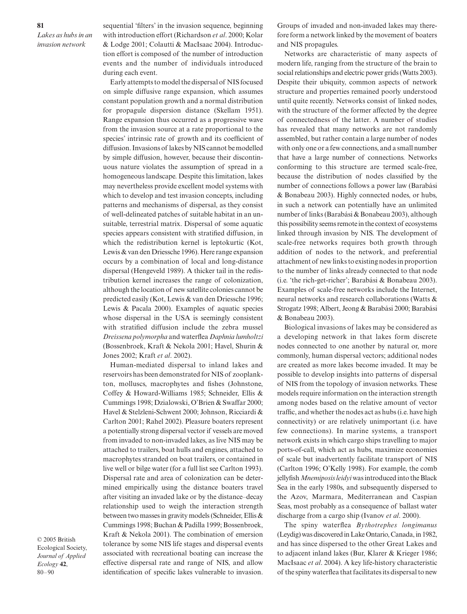sequential 'filters' in the invasion sequence, beginning with introduction effort (Richardson *et al*. 2000; Kolar & Lodge 2001; Colautti & MacIsaac 2004). Introduction effort is composed of the number of introduction events and the number of individuals introduced during each event.

Early attempts to model the dispersal of NIS focused on simple diffusive range expansion, which assumes constant population growth and a normal distribution for propagule dispersion distance (Skellam 1951). Range expansion thus occurred as a progressive wave from the invasion source at a rate proportional to the species' intrinsic rate of growth and its coefficient of diffusion. Invasions of lakes by NIS cannot be modelled by simple diffusion, however, because their discontinuous nature violates the assumption of spread in a homogeneous landscape. Despite this limitation, lakes may nevertheless provide excellent model systems with which to develop and test invasion concepts, including patterns and mechanisms of dispersal, as they consist of well-delineated patches of suitable habitat in an unsuitable, terrestrial matrix. Dispersal of some aquatic species appears consistent with stratified diffusion, in which the redistribution kernel is leptokurtic (Kot, Lewis & van den Driessche 1996). Here range expansion occurs by a combination of local and long-distance dispersal (Hengeveld 1989). A thicker tail in the redistribution kernel increases the range of colonization, although the location of new satellite colonies cannot be predicted easily (Kot, Lewis & van den Driessche 1996; Lewis & Pacala 2000). Examples of aquatic species whose dispersal in the USA is seemingly consistent with stratified diffusion include the zebra mussel *Dreissena polymorpha* and waterflea *Daphnia lumholtzi* (Bossenbroek, Kraft & Nekola 2001; Havel, Shurin & Jones 2002; Kraft *et al*. 2002).

Human-mediated dispersal to inland lakes and reservoirs has been demonstrated for NIS of zooplankton, molluscs, macrophytes and fishes (Johnstone, Coffey & Howard-Williams 1985; Schneider, Ellis & Cummings 1998; Dzialowski, O'Brien & Swaffar 2000; Havel & Stelzleni-Schwent 2000; Johnson, Ricciardi & Carlton 2001; Rahel 2002). Pleasure boaters represent a potentially strong dispersal vector if vessels are moved from invaded to non-invaded lakes, as live NIS may be attached to trailers, boat hulls and engines, attached to macrophytes stranded on boat trailers, or contained in live well or bilge water (for a full list see Carlton 1993). Dispersal rate and area of colonization can be determined empirically using the distance boaters travel after visiting an invaded lake or by the distance–decay relationship used to weigh the interaction strength between two masses in gravity models (Schneider, Ellis & Cummings 1998; Buchan & Padilla 1999; Bossenbroek, Kraft & Nekola 2001). The combination of emersion tolerance by some NIS life stages and dispersal events associated with recreational boating can increase the effective dispersal rate and range of NIS, and allow identification of specific lakes vulnerable to invasion.

© 2005 British Ecological Society, *Journal of Applied Ecology* **42**, 80–90

Groups of invaded and non-invaded lakes may therefore form a network linked by the movement of boaters and NIS propagules.

Networks are characteristic of many aspects of modern life, ranging from the structure of the brain to social relationships and electric power grids (Watts 2003). Despite their ubiquity, common aspects of network structure and properties remained poorly understood until quite recently. Networks consist of linked nodes, with the structure of the former affected by the degree of connectedness of the latter. A number of studies has revealed that many networks are not randomly assembled, but rather contain a large number of nodes with only one or a few connections, and a small number that have a large number of connections. Networks conforming to this structure are termed scale-free, because the distribution of nodes classified by the number of connections follows a power law (Barabási & Bonabeau 2003). Highly connected nodes, or hubs, in such a network can potentially have an unlimited number of links (Barabási & Bonabeau 2003), although this possibility seems remote in the context of ecosystems linked through invasion by NIS. The development of scale-free networks requires both growth through addition of nodes to the network, and preferential attachment of new links to existing nodes in proportion to the number of links already connected to that node (i.e. 'the rich-get-richer'; Barabási & Bonabeau 2003). Examples of scale-free networks include the Internet, neural networks and research collaborations (Watts & Strogatz 1998; Albert, Jeong & Barabási 2000; Barabási & Bonabeau 2003).

Biological invasions of lakes may be considered as a developing network in that lakes form discrete nodes connected to one another by natural or, more commonly, human dispersal vectors; additional nodes are created as more lakes become invaded. It may be possible to develop insights into patterns of dispersal of NIS from the topology of invasion networks. These models require information on the interaction strength among nodes based on the relative amount of vector traffic, and whether the nodes act as hubs (i.e. have high connectivity) or are relatively unimportant (i.e. have few connections). In marine systems, a transport network exists in which cargo ships travelling to major ports-of-call, which act as hubs, maximize economies of scale but inadvertently facilitate transport of NIS (Carlton 1996; O'Kelly 1998). For example, the comb jellyfish *Mnemiposis leidyi*was introduced into the Black Sea in the early 1980s, and subsequently dispersed to the Azov, Marmara, Mediterranean and Caspian Seas, most probably as a consequence of ballast water discharge from a cargo ship (Ivanov *et al*. 2000).

The spiny waterflea *Bythotrephes longimanus* (Leydig) was discovered in Lake Ontario, Canada, in 1982, and has since dispersed to the other Great Lakes and to adjacent inland lakes (Bur, Klarer & Krieger 1986; MacIsaac *et al*. 2004). A key life-history characteristic of the spiny waterflea that facilitates its dispersal to new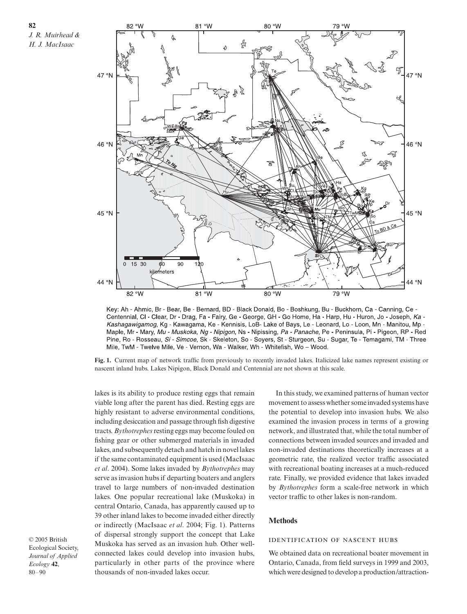**82** *J. R. Muirhead & H. J. MacIsaac*



Key: Ah - Ahmic, Br - Bear, Be - Bernard, BD - Black Donald, Bo - Boshkung, Bu - Buckhorn, Ca - Canning, Ce -Centennial, CI - Clear, Dr - Drag, Fa - Fairy, Ge - George, GH - Go Home, Ha - Harp, Hu - Huron, Jo - Joseph, Ka -Kashagawigamog, Kg - Kawagama, Ke - Kennisis, LoB- Lake of Bays, Le - Leonard, Lo - Loon, Mn - Manitou, Mp -Maple, Mr - Mary, Mu - Muskoka, Ng - Nipigon, Ns - Nipissing, Pa - Panache, Pe - Peninsula, Pi - Pigeon, RP - Red Pine, Ro - Rosseau, Si - Simcoe, Sk - Skeleton, So - Soyers, St - Sturgeon, Su - Sugar, Te - Temagami, TM - Three Mile, TwM - Twelve Mile, Ve - Vernon, Wa - Walker, Wh - Whitefish, Wo - Wood.

**Fig. 1.** Current map of network traffic from previously to recently invaded lakes. Italicized lake names represent existing or nascent inland hubs. Lakes Nipigon, Black Donald and Centennial are not shown at this scale.

lakes is its ability to produce resting eggs that remain viable long after the parent has died. Resting eggs are highly resistant to adverse environmental conditions, including desiccation and passage through fish digestive tracts. *Bythotrephes*resting eggs may become fouled on fishing gear or other submerged materials in invaded lakes, and subsequently detach and hatch in novel lakes if the same contaminated equipment is used (MacIsaac *et al*. 2004). Some lakes invaded by *Bythotrephes* may serve as invasion hubs if departing boaters and anglers travel to large numbers of non-invaded destination lakes. One popular recreational lake (Muskoka) in central Ontario, Canada, has apparently caused up to 39 other inland lakes to become invaded either directly or indirectly (MacIsaac *et al*. 2004; Fig. 1). Patterns of dispersal strongly support the concept that Lake Muskoka has served as an invasion hub. Other wellconnected lakes could develop into invasion hubs, particularly in other parts of the province where thousands of non-invaded lakes occur.

© 2005 British Ecological Society, *Journal of Applied Ecology* **42**, 80–90

In this study, we examined patterns of human vector movement to assess whether some invaded systems have the potential to develop into invasion hubs. We also examined the invasion process in terms of a growing network, and illustrated that, while the total number of connections between invaded sources and invaded and non-invaded destinations theoretically increases at a geometric rate, the realized vector traffic associated with recreational boating increases at a much-reduced rate. Finally, we provided evidence that lakes invaded by *Bythotrephes* form a scale-free network in which vector traffic to other lakes is non-random.

## **Methods**

## **IDENTIFICATION OF NASCENT HUBS**

We obtained data on recreational boater movement in Ontario, Canada, from field surveys in 1999 and 2003, which were designed to develop a production/attraction-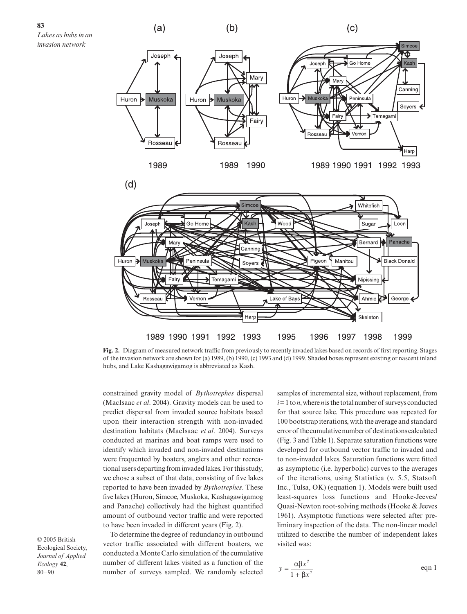

**Fig. 2.** Diagram of measured network traffic from previously to recently invaded lakes based on records of first reporting. Stages of the invasion network are shown for (a) 1989, (b) 1990, (c) 1993 and (d) 1999. Shaded boxes represent existing or nascent inland hubs, and Lake Kashagawigamog is abbreviated as Kash.

constrained gravity model of *Bythotrephes* dispersal (MacIsaac *et al*. 2004). Gravity models can be used to predict dispersal from invaded source habitats based upon their interaction strength with non-invaded destination habitats (MacIsaac *et al*. 2004). Surveys conducted at marinas and boat ramps were used to identify which invaded and non-invaded destinations were frequented by boaters, anglers and other recreational users departing from invaded lakes. For this study, we chose a subset of that data, consisting of five lakes reported to have been invaded by *Bythotrephes*. These five lakes (Huron, Simcoe, Muskoka, Kashagawigamog and Panache) collectively had the highest quantified amount of outbound vector traffic and were reported to have been invaded in different years (Fig. 2).

© 2005 British Ecological Society, *Journal of Applied Ecology* **42**, 80–90

To determine the degree of redundancy in outbound vector traffic associated with different boaters, we conducted a Monte Carlo simulation of the cumulative number of different lakes visited as a function of the number of surveys sampled. We randomly selected

samples of incremental size, without replacement, from  $i=1$  to *n*, where *n* is the total number of surveys conducted for that source lake. This procedure was repeated for 100 bootstrap iterations, with the average and standard error of the cumulative number of destinations calculated (Fig. 3 and Table 1). Separate saturation functions were developed for outbound vector traffic to invaded and to non-invaded lakes. Saturation functions were fitted as asymptotic (i.e. hyperbolic) curves to the averages of the iterations, using Statistica (v. 5.5, Statsoft Inc., Tulsa, OK) (equation 1). Models were built used least-squares loss functions and Hooke-Jeeves/ Quasi-Newton root-solving methods (Hooke & Jeeves 1961). Asymptotic functions were selected after preliminary inspection of the data. The non-linear model utilized to describe the number of independent lakes visited was:

$$
y = \frac{\alpha \beta x^{\gamma}}{1 + \beta x^{\gamma}}
$$
eqn 1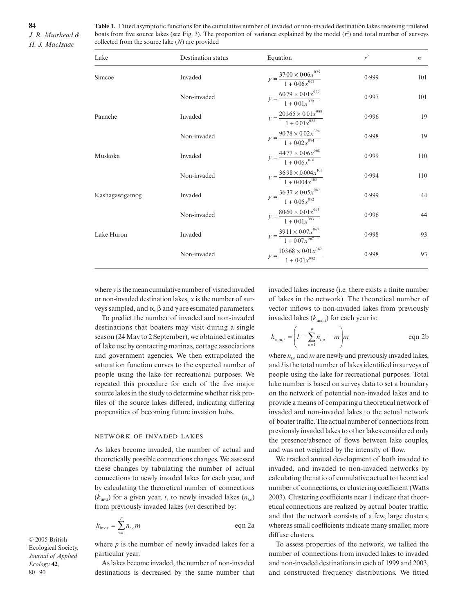**Table 1.** Fitted asymptotic functions for the cumulative number of invaded or non-invaded destination lakes receiving trailered boats from five source lakes (see Fig. 3). The proportion of variance explained by the model  $(r^2)$  and total number of surveys collected from the source lake (*N*) are provided

| Lake           | Destination status | Equation                                                                      | $r^2$ | $\boldsymbol{n}$ |
|----------------|--------------------|-------------------------------------------------------------------------------|-------|------------------|
| Simcoe         | Invaded            | $y = \frac{37.00 \times 0.06x^{0.75}}{1 + 0.06x^{0.75}}$                      | 0.999 | 101              |
|                | Non-invaded        | $y = \frac{60.79 \times 0.01 x^{0.79}}{1 + 0.01 x^{0.79}}$                    | 0.997 | 101              |
| Panache        | Invaded            | $y = \frac{201.65 \times 0.01x^{0.88}}{1 + 0.01x^{0.88}}$                     | 0.996 | 19               |
|                | Non-invaded        | $y = \frac{90.78 \times 0.02x^{0.94}}{1 + 0.02x^{0.94}}$                      | 0.998 | 19               |
| Muskoka        | Invaded            | $y = \frac{44.77 \times 0.06 x^{068}}{1 + 0.06 x^{068}}$                      | 0.999 | 110              |
|                | Non-invaded        | $y = \frac{36.98 \times 0.004 x^{105}}{9000}$<br>$\frac{1}{1 + 0.004x^{105}}$ | 0.994 | 110              |
| Kashagawigamog | Invaded            | $y = \frac{36.37 \times 0.05x^{0.82}}{1 + 0.05x^{0.82}}$                      | 0.999 | 44               |
|                | Non-invaded        | $y = \frac{80.60 \times 0.01 x^{0.93}}{1 + 0.01 x^{0.93}}$                    | 0.996 | 44               |
| Lake Huron     | Invaded            | $y = \frac{39.11 \times 0.07 x^{067}}{1 + 0.07 x^{067}}$                      | 0.998 | 93               |
|                | Non-invaded        | $\frac{103\cdot 68\times 0.01{x}^{082}}{1+0.01{x}^{082}}$<br>$y = -$          | 0.998 | 93               |

where *y*is the mean cumulative number of visited invaded or non-invaded destination lakes, *x* is the number of surveys sampled, and  $\alpha$ ,  $\beta$  and  $\gamma$  are estimated parameters.

To predict the number of invaded and non-invaded destinations that boaters may visit during a single season (24 May to 2 September), we obtained estimates of lake use by contacting marinas, cottage associations and government agencies. We then extrapolated the saturation function curves to the expected number of people using the lake for recreational purposes. We repeated this procedure for each of the five major source lakes in the study to determine whether risk profiles of the source lakes differed, indicating differing propensities of becoming future invasion hubs.

## NETWORK OF INVADED LAKES

As lakes become invaded, the number of actual and theoretically possible connections changes. We assessed these changes by tabulating the number of actual connections to newly invaded lakes for each year, and by calculating the theoretical number of connections  $(k_{\text{inv},t})$  for a given year, *t*, to newly invaded lakes  $(n_{t,o})$ from previously invaded lakes (*m*) described by:

$$
k_{\text{inv},t} = \sum_{o=1}^{p} n_{t,o} m \qquad \text{eqn 2a}
$$

© 2005 British Ecological Society, *Journal of Applied Ecology* **42**, 80–90

where  $p$  is the number of newly invaded lakes for a particular year.

As lakes become invaded, the number of non-invaded destinations is decreased by the same number that invaded lakes increase (i.e. there exists a finite number of lakes in the network). The theoretical number of vector inflows to non-invaded lakes from previously invaded lakes  $(k_{\text{non},t})$  for each year is:

$$
k_{\text{non},t} = \left( l - \sum_{o=1}^{p} n_{t,o} - m \right) m \qquad \text{eqn 2b}
$$

where  $n_{ta}$  and *m* are newly and previously invaded lakes, and *l* is the total number of lakes identified in surveys of people using the lake for recreational purposes. Total lake number is based on survey data to set a boundary on the network of potential non-invaded lakes and to provide a means of comparing a theoretical network of invaded and non-invaded lakes to the actual network of boater traffic. The actual number of connections from previously invaded lakes to other lakes considered only the presence/absence of flows between lake couples, and was not weighted by the intensity of flow.

We tracked annual development of both invaded to invaded, and invaded to non-invaded networks by calculating the ratio of cumulative actual to theoretical number of connections, or clustering coefficient (Watts 2003). Clustering coefficients near 1 indicate that theoretical connections are realized by actual boater traffic, and that the network consists of a few, large clusters, whereas small coefficients indicate many smaller, more diffuse clusters.

To assess properties of the network, we tallied the number of connections from invaded lakes to invaded and non-invaded destinations in each of 1999 and 2003, and constructed frequency distributions. We fitted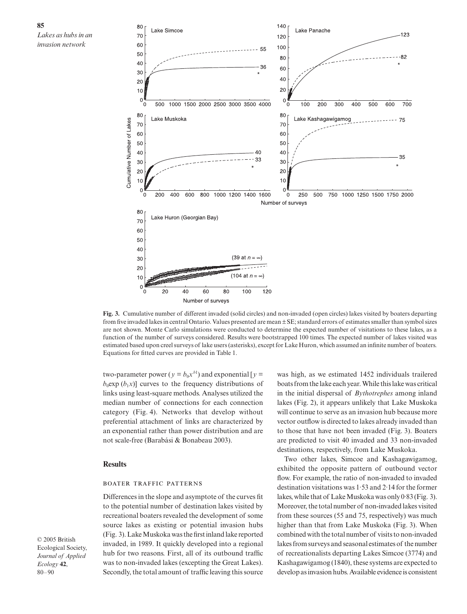

**Fig. 3.** Cumulative number of different invaded (solid circles) and non-invaded (open circles) lakes visited by boaters departing from five invaded lakes in central Ontario. Values presented are mean ± SE; standard errors of estimates smaller than symbol sizes are not shown. Monte Carlo simulations were conducted to determine the expected number of visitations to these lakes, as a function of the number of surveys considered. Results were bootstrapped 100 times. The expected number of lakes visited was estimated based upon creel surveys of lake users (asterisks), except for Lake Huron, which assumed an infinite number of boaters. Equations for fitted curves are provided in Table 1.

two-parameter power ( $y = b_0 x^{b_1}$ ) and exponential [ $y =$  $b_0$ exp ( $b_1x$ )] curves to the frequency distributions of links using least-square methods. Analyses utilized the median number of connections for each connection category (Fig. 4). Networks that develop without preferential attachment of links are characterized by an exponential rather than power distribution and are not scale-free (Barabási & Bonabeau 2003).

#### **Results**

#### **BOATER TRAFFIC PATTERNS**

Differences in the slope and asymptote of the curves fit to the potential number of destination lakes visited by recreational boaters revealed the development of some source lakes as existing or potential invasion hubs (Fig. 3). Lake Muskoka was the first inland lake reported invaded, in 1989. It quickly developed into a regional hub for two reasons. First, all of its outbound traffic was to non-invaded lakes (excepting the Great Lakes). Secondly, the total amount of traffic leaving this source

was high, as we estimated 1452 individuals trailered boats from the lake each year. While this lake was critical in the initial dispersal of *Bythotrephes* among inland lakes (Fig. 2), it appears unlikely that Lake Muskoka will continue to serve as an invasion hub because more vector outflow is directed to lakes already invaded than to those that have not been invaded (Fig. 3). Boaters are predicted to visit 40 invaded and 33 non-invaded destinations, respectively, from Lake Muskoka.

Two other lakes, Simcoe and Kashagawigamog, exhibited the opposite pattern of outbound vector flow. For example, the ratio of non-invaded to invaded destination visitations was 1·53 and 2·14 for the former lakes, while that of Lake Muskoka was only 0·83 (Fig. 3). Moreover, the total number of non-invaded lakes visited from these sources (55 and 75, respectively) was much higher than that from Lake Muskoka (Fig. 3). When combined with the total number of visits to non-invaded lakes from surveys and seasonal estimates of the number of recreationalists departing Lakes Simcoe (3774) and Kashagawigamog (1840), these systems are expected to develop as invasion hubs. Available evidence is consistent

© 2005 British Ecological Society, *Journal of Applied Ecology* **42**, 80–90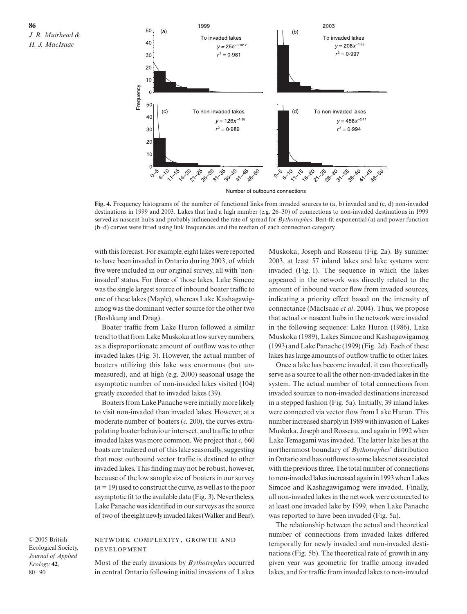

Number of outbound connections

**Fig. 4.** Frequency histograms of the number of functional links from invaded sources to (a, b) invaded and (c, d) non-invaded destinations in 1999 and 2003. Lakes that had a high number (e.g. 26–30) of connections to non-invaded destinations in 1999 served as nascent hubs and probably influenced the rate of spread for *Bythotrephes*. Best-fit exponential (a) and power function (b–d) curves were fitted using link frequencies and the median of each connection category.

with this forecast. For example, eight lakes were reported to have been invaded in Ontario during 2003, of which five were included in our original survey, all with 'noninvaded' status. For three of those lakes, Lake Simcoe was the single largest source of inbound boater traffic to one of these lakes (Maple), whereas Lake Kashagawigamog was the dominant vector source for the other two (Boshkung and Drag).

Boater traffic from Lake Huron followed a similar trend to that from Lake Muskoka at low survey numbers, as a disproportionate amount of outflow was to other invaded lakes (Fig. 3). However, the actual number of boaters utilizing this lake was enormous (but unmeasured), and at high (e.g. 2000) seasonal usage the asymptotic number of non-invaded lakes visited (104) greatly exceeded that to invaded lakes (39).

Boaters from Lake Panache were initially more likely to visit non-invaded than invaded lakes. However, at a moderate number of boaters (*c.* 200), the curves extrapolating boater behaviour intersect, and traffic to other invaded lakes was more common. We project that *c.* 660 boats are trailered out of this lake seasonally, suggesting that most outbound vector traffic is destined to other invaded lakes. This finding may not be robust, however, because of the low sample size of boaters in our survey (*n* = 19) used to construct the curve, as well as to the poor asymptotic fit to the available data (Fig. 3). Nevertheless, Lake Panache was identified in our surveys as the source of two of the eight newly invaded lakes (Walker and Bear).

© 2005 British Ecological Society, *Journal of Applied Ecology* **42**, 80–90

## NETWORK COMPLEXITY, GROWTH AND **DEVELOPMENT**

Most of the early invasions by *Bythotrephes* occurred in central Ontario following initial invasions of Lakes

Muskoka, Joseph and Rosseau (Fig. 2a). By summer 2003, at least 57 inland lakes and lake systems were invaded (Fig. 1). The sequence in which the lakes appeared in the network was directly related to the amount of inbound vector flow from invaded sources, indicating a priority effect based on the intensity of connectance (MacIsaac *et al*. 2004). Thus, we propose that actual or nascent hubs in the network were invaded in the following sequence: Lake Huron (1986), Lake Muskoka (1989), Lakes Simcoe and Kashagawigamog (1993) and Lake Panache (1999) (Fig. 2d). Each of these lakes has large amounts of outflow traffic to other lakes.

Once a lake has become invaded, it can theoretically serve as a source to all the other non-invaded lakes in the system. The actual number of total connections from invaded sources to non-invaded destinations increased in a stepped fashion (Fig. 5a). Initially, 39 inland lakes were connected via vector flow from Lake Huron. This number increased sharply in 1989 with invasion of Lakes Muskoka, Joseph and Rosseau, and again in 1992 when Lake Temagami was invaded. The latter lake lies at the northernmost boundary of *Bythotrephes*' distribution in Ontario and has outflows to some lakes not associated with the previous three. The total number of connections to non-invaded lakes increased again in 1993 when Lakes Simcoe and Kashagawigamog were invaded. Finally, all non-invaded lakes in the network were connected to at least one invaded lake by 1999, when Lake Panache was reported to have been invaded (Fig. 5a).

The relationship between the actual and theoretical number of connections from invaded lakes differed temporally for newly invaded and non-invaded destinations (Fig. 5b). The theoretical rate of growth in any given year was geometric for traffic among invaded lakes, and for traffic from invaded lakes to non-invaded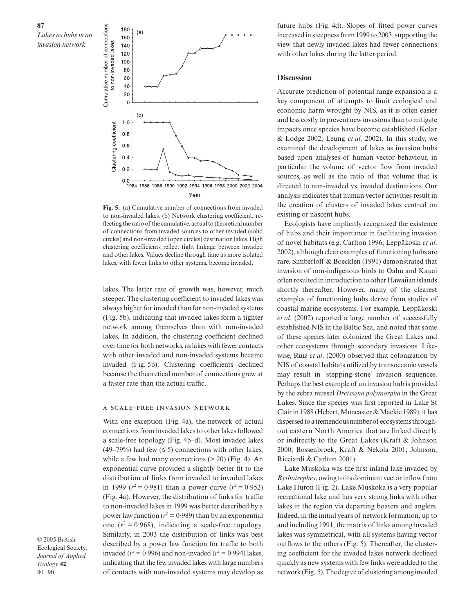

**Fig. 5.** (a) Cumulative number of connections from invaded to non-invaded lakes. (b) Network clustering coefficient, reflecting the ratio of the cumulative, actual to theoretical number of connections from invaded sources to other invaded (solid circles) and non-invaded (open circles) destination lakes. High clustering coefficients reflect tight linkage between invaded and other lakes. Values decline through time as more isolated lakes, with fewer links to other systems, become invaded.

lakes. The latter rate of growth was, however, much steeper. The clustering coefficient to invaded lakes was always higher for invaded than for non-invaded systems (Fig. 5b), indicating that invaded lakes form a tighter network among themselves than with non-invaded lakes. In addition, the clustering coefficient declined over time for both networks, as lakes with fewer contacts with other invaded and non-invaded systems became invaded (Fig. 5b). Clustering coefficients declined because the theoretical number of connections grew at a faster rate than the actual traffic.

## A SCALE-FREE INVASION NETWORK

With one exception (Fig. 4a), the network of actual connections from invaded lakes to other lakes followed a scale-free topology (Fig. 4b–d). Most invaded lakes (49–79%) had few  $( \leq 5)$  connections with other lakes, while a few had many connections  $(> 20)$  (Fig. 4). An exponential curve provided a slightly better fit to the distribution of links from invaded to invaded lakes in 1999 ( $r^2 = 0.981$ ) than a power curve ( $r^2 = 0.952$ ) (Fig. 4a). However, the distribution of links for traffic to non-invaded lakes in 1999 was better described by a power law function  $(r^2 = 0.989)$  than by an exponential one  $(r^2 = 0.968)$ , indicating a scale-free topology. Similarly, in 2003 the distribution of links was best described by a power law function for traffic to both invaded ( $r^2 = 0.996$ ) and non-invaded ( $r^2 = 0.994$ ) lakes, indicating that the few invaded lakes with large numbers of contacts with non-invaded systems may develop as

© 2005 British Ecological Society, *Journal of Applied Ecology* **42**, 80–90

future hubs (Fig. 4d). Slopes of fitted power curves increased in steepness from 1999 to 2003, supporting the view that newly invaded lakes had fewer connections with other lakes during the latter period.

## **Discussion**

Accurate prediction of potential range expansion is a key component of attempts to limit ecological and economic harm wrought by NIS, as it is often easier and less costly to prevent new invasions than to mitigate impacts once species have become established (Kolar & Lodge 2002; Leung *et al*. 2002). In this study, we examined the development of lakes as invasion hubs based upon analyses of human vector behaviour, in particular the volume of vector flow from invaded sources, as well as the ratio of that volume that is directed to non-invaded vs. invaded destinations. Our analysis indicates that human vector activities result in the creation of clusters of invaded lakes centred on existing or nascent hubs.

Ecologists have implicitly recognized the existence of hubs and their importance in facilitating invasion of novel habitats (e.g. Carlton 1996; Leppäkoski *et al*. 2002), although clear examples of functioning hubs are rare. Simberloff & Boecklen (1991) demonstrated that invasion of non-indigenous birds to Oahu and Kauai often resulted in introduction to other Hawaiian islands shortly thereafter. However, many of the clearest examples of functioning hubs derive from studies of coastal marine ecosystems. For example, Leppäkoski *et al*. (2002) reported a large number of successfully established NIS in the Baltic Sea, and noted that some of these species later colonized the Great Lakes and other ecosystems through secondary invasions. Likewise, Ruiz *et al*. (2000) observed that colonization by NIS of coastal habitats utilized by transoceanic vessels may result in 'stepping-stone' invasion sequences. Perhaps the best example of an invasion hub is provided by the zebra mussel *Dreissena polymorpha* in the Great Lakes. Since the species was first reported in Lake St Clair in 1988 (Hebert, Muncaster & Mackie 1989), it has dispersed to a tremendous number of ecosystems throughout eastern North America that are linked directly or indirectly to the Great Lakes (Kraft & Johnson 2000; Bossenbroek, Kraft & Nekola 2001; Johnson, Ricciardi & Carlton 2001).

Lake Muskoka was the first inland lake invaded by *Bythotrephes*, owing to its dominant vector inflow from Lake Huron (Fig. 2). Lake Muskoka is a very popular recreational lake and has very strong links with other lakes in the region via departing boaters and anglers. Indeed, in the initial years of network formation, up to and including 1991, the matrix of links among invaded lakes was symmetrical, with all systems having vector outflows to the others (Fig. 5). Thereafter, the clustering coefficient for the invaded lakes network declined quickly as new systems with few links were added to the network (Fig. 5). The degree of clustering among invaded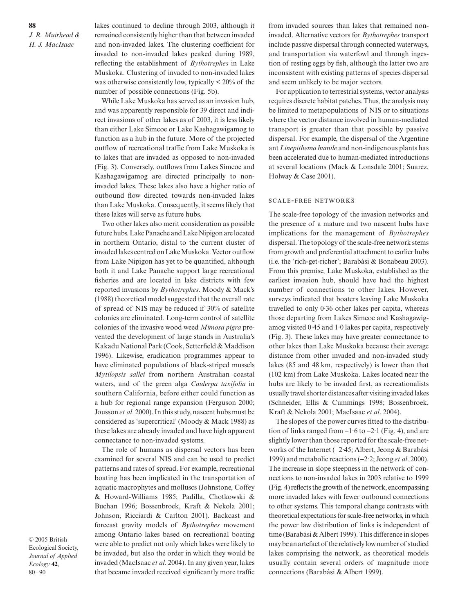lakes continued to decline through 2003, although it remained consistently higher than that between invaded and non-invaded lakes. The clustering coefficient for invaded to non-invaded lakes peaked during 1989, reflecting the establishment of *Bythotrephes* in Lake Muskoka. Clustering of invaded to non-invaded lakes was otherwise consistently low, typically < 20% of the number of possible connections (Fig. 5b).

While Lake Muskoka has served as an invasion hub, and was apparently responsible for 39 direct and indirect invasions of other lakes as of 2003, it is less likely than either Lake Simcoe or Lake Kashagawigamog to function as a hub in the future. More of the projected outflow of recreational traffic from Lake Muskoka is to lakes that are invaded as opposed to non-invaded (Fig. 3). Conversely, outflows from Lakes Simcoe and Kashagawigamog are directed principally to noninvaded lakes. These lakes also have a higher ratio of outbound flow directed towards non-invaded lakes than Lake Muskoka. Consequently, it seems likely that these lakes will serve as future hubs.

Two other lakes also merit consideration as possible future hubs. Lake Panache and Lake Nipigon are located in northern Ontario, distal to the current cluster of invaded lakes centred on Lake Muskoka. Vector outflow from Lake Nipigon has yet to be quantified, although both it and Lake Panache support large recreational fisheries and are located in lake districts with few reported invasions by *Bythotrephes*. Moody & Mack's (1988) theoretical model suggested that the overall rate of spread of NIS may be reduced if 30% of satellite colonies are eliminated. Long-term control of satellite colonies of the invasive wood weed *Mimosa pigra* prevented the development of large stands in Australia's Kakadu National Park (Cook, Setterfield & Maddison 1996). Likewise, eradication programmes appear to have eliminated populations of black-striped mussels *Mytilopsis sallei* from northern Australian coastal waters, and of the green alga *Caulerpa taxifolia* in southern California, before either could function as a hub for regional range expansion (Ferguson 2000; Jousson *et al*. 2000). In this study, nascent hubs must be considered as 'supercritical' (Moody & Mack 1988) as these lakes are already invaded and have high apparent connectance to non-invaded systems.

The role of humans as dispersal vectors has been examined for several NIS and can be used to predict patterns and rates of spread. For example, recreational boating has been implicated in the transportation of aquatic macrophytes and molluscs (Johnstone, Coffey & Howard-Williams 1985; Padilla, Chotkowski & Buchan 1996; Bossenbroek, Kraft & Nekola 2001; Johnson, Ricciardi & Carlton 2001). Backcast and forecast gravity models of *Bythotrephes* movement among Ontario lakes based on recreational boating were able to predict not only which lakes were likely to be invaded, but also the order in which they would be invaded (MacIsaac *et al*. 2004). In any given year, lakes that became invaded received significantly more traffic

from invaded sources than lakes that remained noninvaded. Alternative vectors for *Bythotrephes* transport include passive dispersal through connected waterways, and transportation via waterfowl and through ingestion of resting eggs by fish, although the latter two are inconsistent with existing patterns of species dispersal and seem unlikely to be major vectors.

For application to terrestrial systems, vector analysis requires discrete habitat patches. Thus, the analysis may be limited to metapopulations of NIS or to situations where the vector distance involved in human-mediated transport is greater than that possible by passive dispersal. For example, the dispersal of the Argentine ant *Linepithema humile* and non-indigenous plants has been accelerated due to human-mediated introductions at several locations (Mack & Lonsdale 2001; Suarez, Holway & Case 2001).

### **SCALE-FREE NETWORKS**

The scale-free topology of the invasion networks and the presence of a mature and two nascent hubs have implications for the management of *Bythotrephes* dispersal. The topology of the scale-free network stems from growth and preferential attachment to earlier hubs (i.e. the 'rich-get-richer'; Barabási & Bonabeau 2003). From this premise, Lake Muskoka, established as the earliest invasion hub, should have had the highest number of connections to other lakes. However, surveys indicated that boaters leaving Lake Muskoka travelled to only 0·36 other lakes per capita, whereas those departing from Lakes Simcoe and Kashagawigamog visited  $0.45$  and  $1.0$  lakes per capita, respectively (Fig. 3). These lakes may have greater connectance to other lakes than Lake Muskoka because their average distance from other invaded and non-invaded study lakes (85 and 48 km, respectively) is lower than that (102 km) from Lake Muskoka. Lakes located near the hubs are likely to be invaded first, as recreationalists usually travel shorter distances after visiting invaded lakes (Schneider, Ellis & Cummings 1998; Bossenbroek, Kraft & Nekola 2001; MacIsaac *et al*. 2004).

The slopes of the power curves fitted to the distribution of links ranged from  $-1.6$  to  $-2.1$  (Fig. 4), and are slightly lower than those reported for the scale-free networks of the Internet (−2·45; Albert, Jeong & Barabási 1999) and metabolic reactions (−2·2; Jeong *et al*. 2000). The increase in slope steepness in the network of connections to non-invaded lakes in 2003 relative to 1999 (Fig. 4) reflects the growth of the network, encompassing more invaded lakes with fewer outbound connections to other systems. This temporal change contrasts with theoretical expectations for scale-free networks, in which the power law distribution of links is independent of time (Barabási & Albert 1999). This difference in slopes may be an artefact of the relatively low number of studied lakes comprising the network, as theoretical models usually contain several orders of magnitude more connections (Barabási & Albert 1999).

© 2005 British Ecological Society, *Journal of Applied Ecology* **42**, 80–90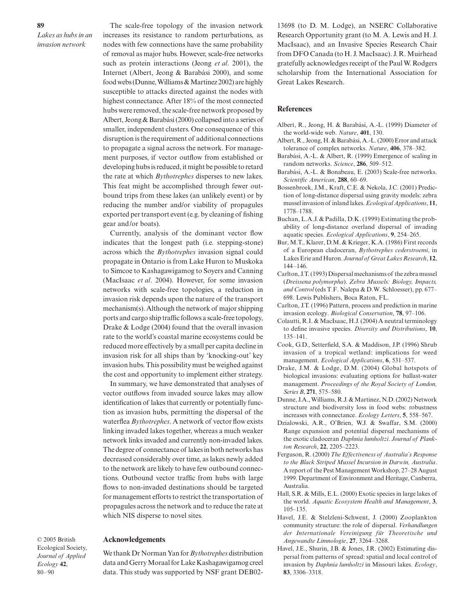*Lakes as hubs in an invasion network*

The scale-free topology of the invasion network increases its resistance to random perturbations, as nodes with few connections have the same probability of removal as major hubs. However, scale-free networks such as protein interactions (Jeong *et al*. 2001), the Internet (Albert, Jeong & Barabási 2000), and some food webs (Dunne, Williams & Martinez 2002) are highly susceptible to attacks directed against the nodes with highest connectance. After 18% of the most connected hubs were removed, the scale-free network proposed by Albert, Jeong & Barabási (2000) collapsed into a series of smaller, independent clusters. One consequence of this disruption is the requirement of additional connections to propagate a signal across the network. For management purposes, if vector outflow from established or developing hubs is reduced, it might be possible to retard the rate at which *Bythotrephes* disperses to new lakes. This feat might be accomplished through fewer outbound trips from these lakes (an unlikely event) or by reducing the number and/or viability of propagules exported per transport event (e.g. by cleaning of fishing gear and/or boats).

Currently, analysis of the dominant vector flow indicates that the longest path (i.e. stepping-stone) across which the *Bythotrephes* invasion signal could propagate in Ontario is from Lake Huron to Muskoka to Simcoe to Kashagawigamog to Soyers and Canning (MacIsaac *et al*. 2004). However, for some invasion networks with scale-free topologies, a reduction in invasion risk depends upon the nature of the transport mechanism(s). Although the network of major shipping ports and cargo ship traffic follows a scale-free topology, Drake & Lodge (2004) found that the overall invasion rate to the world's coastal marine ecosystems could be reduced more effectively by a small per capita decline in invasion risk for all ships than by 'knocking-out' key invasion hubs. This possibility must be weighed against the cost and opportunity to implement either strategy.

In summary, we have demonstrated that analyses of vector outflows from invaded source lakes may allow identification of lakes that currently or potentially function as invasion hubs, permitting the dispersal of the waterflea *Bythotrephes*. A network of vector flow exists linking invaded lakes together, whereas a much weaker network links invaded and currently non-invaded lakes. The degree of connectance of lakes in both networks has decreased considerably over time, as lakes newly added to the network are likely to have few outbound connections. Outbound vector traffic from hubs with large flows to non-invaded destinations should be targeted for management efforts to restrict the transportation of propagules across the network and to reduce the rate at which NIS disperse to novel sites.

#### **Acknowledgements**

© 2005 British Ecological Society, *Journal of Applied Ecology* **42**, 80–90

We thank Dr Norman Yan for *Bythotrephes* distribution data and Gerry Moraal for Lake Kashagawigamog creel data. This study was supported by NSF grant DEB0213698 (to D. M. Lodge), an NSERC Collaborative Research Opportunity grant (to M. A. Lewis and H. J. MacIsaac), and an Invasive Species Research Chair from DFO Canada (to H. J. MacIsaac). J. R. Muirhead gratefully acknowledges receipt of the Paul W. Rodgers scholarship from the International Association for Great Lakes Research.

#### **References**

- Albert, R., Jeong, H. & Barabási, A.-L. (1999) Diameter of the world-wide web. *Nature*, **401**, 130.
- Albert, R., Jeong, H. & Barabási, A.-L. (2000) Error and attack tolerance of complex networks. *Nature*, **406**, 378–382.
- Barabási, A.-L. & Albert, R. (1999) Emergence of scaling in random networks. *Science*, **286**, 509–512.
- Barabási, A.-L. & Bonabeau, E. (2003) Scale-free networks. *Scientific American*, **288**, 60–69.
- Bossenbroek, J.M., Kraft, C.E. & Nekola, J.C. (2001) Prediction of long-distance dispersal using gravity models: zebra mussel invasion of inland lakes. *Ecological Applications*, **11**, 1778–1788.
- Buchan, L.A.J. & Padilla, D.K. (1999) Estimating the probability of long-distance overland dispersal of invading aquatic species. *Ecological Applications*, **9**, 254–265.
- Bur, M.T., Klarer, D.M. & Krieger, K.A. (1986) First records of a European cladoceran, *Bythotrephes cederstroemi*, in Lakes Erie and Huron. *Journal of Great Lakes Research*, **12**, 144–146.
- Carlton, J.T. (1993) Dispersal mechanisms of the zebra mussel (*Dreissena polymorpha*). *Zebra Mussels: Biology, Impacts, and Control* (eds T.F. Nalepa & D.W. Schloesser), pp. 677– 698. Lewis Publishers, Boca Raton, FL.
- Carlton, J.T. (1996) Pattern, process and prediction in marine invasion ecology. *Biological Conservation*, **78**, 97–106.
- Colautti, R.I. & MacIsaac, H.J. (2004) A neutral terminology to define invasive species. *Diversity and Distributions*, **10**, 135–141.
- Cook, G.D., Setterfield, S.A. & Maddison, J.P. (1996) Shrub invasion of a tropical wetland: implications for weed management. *Ecological Applications*, **6**, 531–537.
- Drake, J.M. & Lodge, D.M. (2004) Global hotspots of biological invasions: evaluating options for ballast-water management. *Proceedings of the Royal Society of London, Series B*, **271**, 575–580.
- Dunne, J.A., Williams, R.J. & Martinez, N.D. (2002) Network structure and biodiversity loss in food webs: robustness increases with connectance. *Ecology Letters*, **5**, 558–567.
- Dzialowski, A.R., O'Brien, W.J. & Swaffar, S.M. (2000) Range expansion and potential dispersal mechanisms of the exotic cladoceran *Daphnia lumholtzi*. *Journal of Plankton Research*, **22**, 2205–2223.
- Ferguson, R. (2000) *The Effectiveness of Australia's Response to the Black Striped Mussel Incursion in Darwin, Australia*. A report of the Pest Management Workshop, 27–28 August 1999. Department of Environment and Heritage, Canberra, Australia.
- Hall, S.R. & Mills, E.L. (2000) Exotic species in large lakes of the world. *Aquatic Ecosystem Health and Management*, **3**, 105–135.
- Havel, J.E. & Stelzleni-Schwent, J. (2000) Zooplankton community structure: the role of dispersal. *Verhandlungen der Internationale Vereinigung für Theoretische und Angewandte Limnologie*, **27**, 3264–3268.
- Havel, J.E., Shurin, J.B. & Jones, J.R. (2002) Estimating dispersal from patterns of spread: spatial and local control of invasion by *Daphnia lumholtzi* in Missouri lakes. *Ecology*, **83**, 3306–3318.